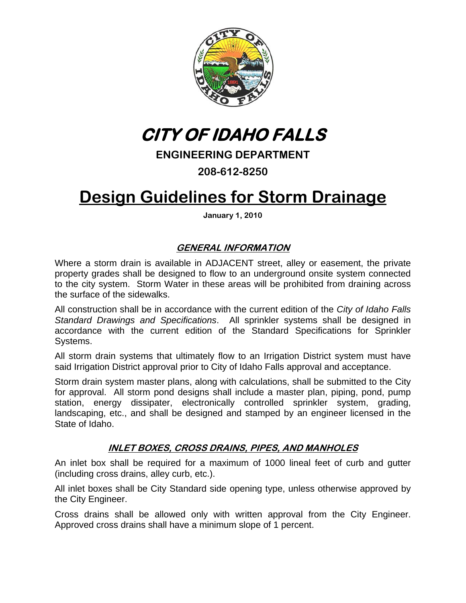

**CITY OF IDAHO FALLS** 

## **ENGINEERING DEPARTMENT**

**208-612-8250** 

# **Design Guidelines for Storm Drainage**

**January 1, 2010** 

### **GENERAL INFORMATION**

Where a storm drain is available in ADJACENT street, alley or easement, the private property grades shall be designed to flow to an underground onsite system connected to the city system. Storm Water in these areas will be prohibited from draining across the surface of the sidewalks.

All construction shall be in accordance with the current edition of the *City of Idaho Falls Standard Drawings and Specifications*. All sprinkler systems shall be designed in accordance with the current edition of the Standard Specifications for Sprinkler Systems.

All storm drain systems that ultimately flow to an Irrigation District system must have said Irrigation District approval prior to City of Idaho Falls approval and acceptance.

Storm drain system master plans, along with calculations, shall be submitted to the City for approval. All storm pond designs shall include a master plan, piping, pond, pump station, energy dissipater, electronically controlled sprinkler system, grading, landscaping, etc., and shall be designed and stamped by an engineer licensed in the State of Idaho.

#### **INLET BOXES, CROSS DRAINS, PIPES, AND MANHOLES**

An inlet box shall be required for a maximum of 1000 lineal feet of curb and gutter (including cross drains, alley curb, etc.).

All inlet boxes shall be City Standard side opening type, unless otherwise approved by the City Engineer.

Cross drains shall be allowed only with written approval from the City Engineer. Approved cross drains shall have a minimum slope of 1 percent.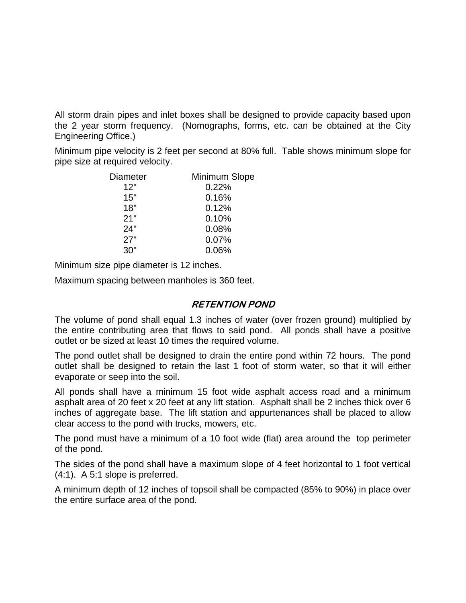All storm drain pipes and inlet boxes shall be designed to provide capacity based upon the 2 year storm frequency. (Nomographs, forms, etc. can be obtained at the City Engineering Office.)

Minimum pipe velocity is 2 feet per second at 80% full. Table shows minimum slope for pipe size at required velocity.

| Minimum Slope |
|---------------|
| 0.22%         |
| 0.16%         |
| 0.12%         |
| 0.10%         |
| 0.08%         |
| 0.07%         |
| 0.06%         |
|               |

Minimum size pipe diameter is 12 inches.

Maximum spacing between manholes is 360 feet.

#### **RETENTION POND**

The volume of pond shall equal 1.3 inches of water (over frozen ground) multiplied by the entire contributing area that flows to said pond. All ponds shall have a positive outlet or be sized at least 10 times the required volume.

The pond outlet shall be designed to drain the entire pond within 72 hours. The pond outlet shall be designed to retain the last 1 foot of storm water, so that it will either evaporate or seep into the soil.

All ponds shall have a minimum 15 foot wide asphalt access road and a minimum asphalt area of 20 feet x 20 feet at any lift station. Asphalt shall be 2 inches thick over 6 inches of aggregate base. The lift station and appurtenances shall be placed to allow clear access to the pond with trucks, mowers, etc.

The pond must have a minimum of a 10 foot wide (flat) area around the top perimeter of the pond.

The sides of the pond shall have a maximum slope of 4 feet horizontal to 1 foot vertical (4:1). A 5:1 slope is preferred.

A minimum depth of 12 inches of topsoil shall be compacted (85% to 90%) in place over the entire surface area of the pond.